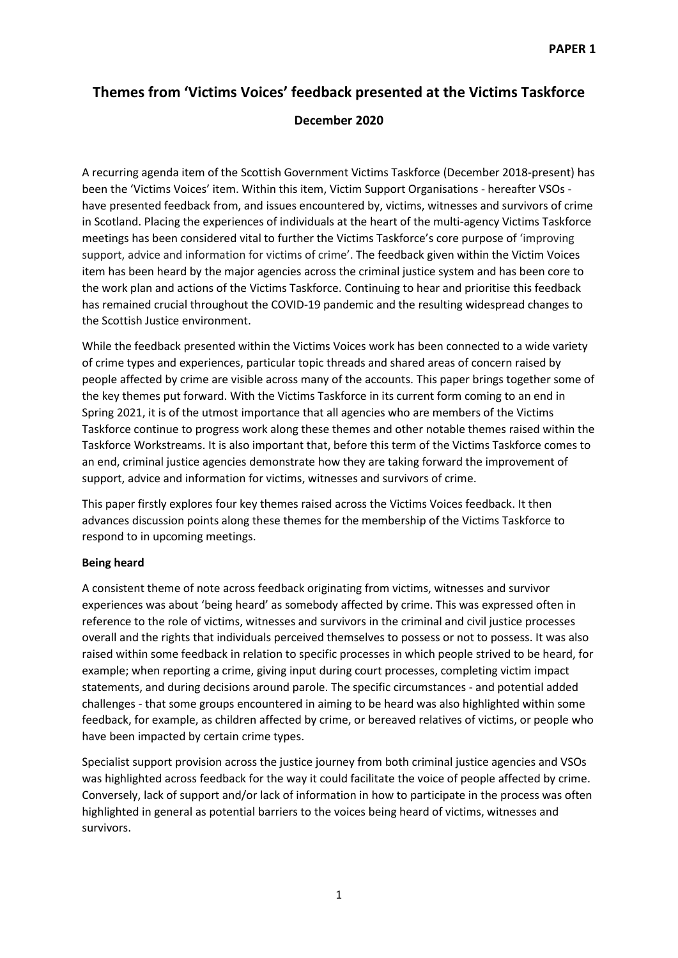# **Themes from 'Victims Voices' feedback presented at the Victims Taskforce December 2020**

A recurring agenda item of the Scottish Government Victims Taskforce (December 2018-present) has been the 'Victims Voices' item. Within this item, Victim Support Organisations - hereafter VSOs have presented feedback from, and issues encountered by, victims, witnesses and survivors of crime in Scotland. Placing the experiences of individuals at the heart of the multi-agency Victims Taskforce meetings has been considered vital to further the Victims Taskforce's core purpose of 'improving support, advice and information for victims of crime'. The feedback given within the Victim Voices item has been heard by the major agencies across the criminal justice system and has been core to the work plan and actions of the Victims Taskforce. Continuing to hear and prioritise this feedback has remained crucial throughout the COVID-19 pandemic and the resulting widespread changes to the Scottish Justice environment.

While the feedback presented within the Victims Voices work has been connected to a wide variety of crime types and experiences, particular topic threads and shared areas of concern raised by people affected by crime are visible across many of the accounts. This paper brings together some of the key themes put forward. With the Victims Taskforce in its current form coming to an end in Spring 2021, it is of the utmost importance that all agencies who are members of the Victims Taskforce continue to progress work along these themes and other notable themes raised within the Taskforce Workstreams. It is also important that, before this term of the Victims Taskforce comes to an end, criminal justice agencies demonstrate how they are taking forward the improvement of support, advice and information for victims, witnesses and survivors of crime.

This paper firstly explores four key themes raised across the Victims Voices feedback. It then advances discussion points along these themes for the membership of the Victims Taskforce to respond to in upcoming meetings.

# **Being heard**

A consistent theme of note across feedback originating from victims, witnesses and survivor experiences was about 'being heard' as somebody affected by crime. This was expressed often in reference to the role of victims, witnesses and survivors in the criminal and civil justice processes overall and the rights that individuals perceived themselves to possess or not to possess. It was also raised within some feedback in relation to specific processes in which people strived to be heard, for example; when reporting a crime, giving input during court processes, completing victim impact statements, and during decisions around parole. The specific circumstances - and potential added challenges - that some groups encountered in aiming to be heard was also highlighted within some feedback, for example, as children affected by crime, or bereaved relatives of victims, or people who have been impacted by certain crime types.

Specialist support provision across the justice journey from both criminal justice agencies and VSOs was highlighted across feedback for the way it could facilitate the voice of people affected by crime. Conversely, lack of support and/or lack of information in how to participate in the process was often highlighted in general as potential barriers to the voices being heard of victims, witnesses and survivors.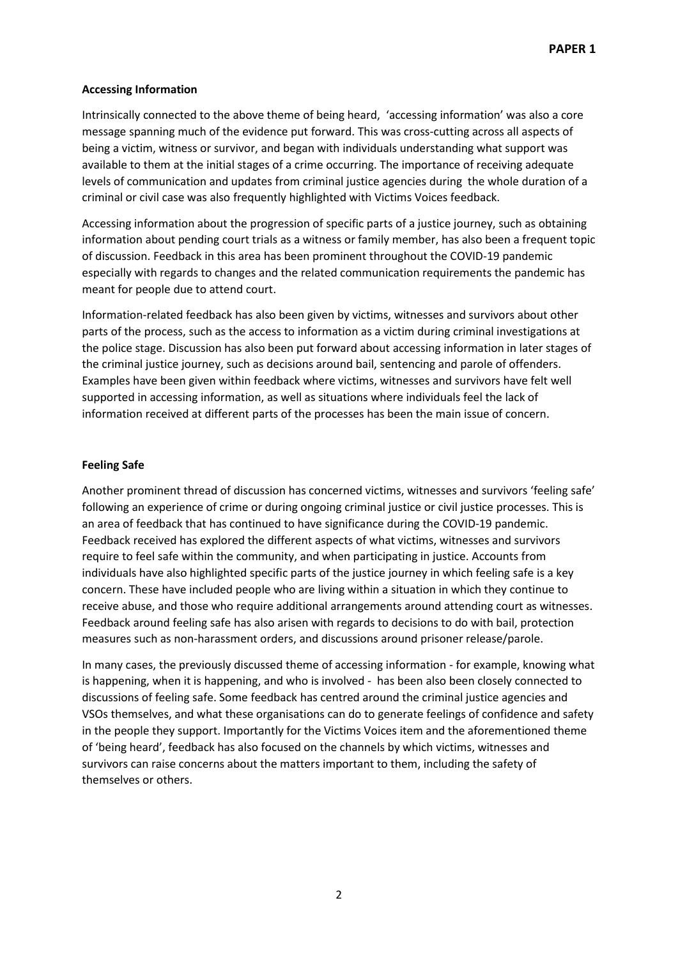### **Accessing Information**

Intrinsically connected to the above theme of being heard, 'accessing information' was also a core message spanning much of the evidence put forward. This was cross-cutting across all aspects of being a victim, witness or survivor, and began with individuals understanding what support was available to them at the initial stages of a crime occurring. The importance of receiving adequate levels of communication and updates from criminal justice agencies during the whole duration of a criminal or civil case was also frequently highlighted with Victims Voices feedback.

Accessing information about the progression of specific parts of a justice journey, such as obtaining information about pending court trials as a witness or family member, has also been a frequent topic of discussion. Feedback in this area has been prominent throughout the COVID-19 pandemic especially with regards to changes and the related communication requirements the pandemic has meant for people due to attend court.

Information-related feedback has also been given by victims, witnesses and survivors about other parts of the process, such as the access to information as a victim during criminal investigations at the police stage. Discussion has also been put forward about accessing information in later stages of the criminal justice journey, such as decisions around bail, sentencing and parole of offenders. Examples have been given within feedback where victims, witnesses and survivors have felt well supported in accessing information, as well as situations where individuals feel the lack of information received at different parts of the processes has been the main issue of concern.

## **Feeling Safe**

Another prominent thread of discussion has concerned victims, witnesses and survivors 'feeling safe' following an experience of crime or during ongoing criminal justice or civil justice processes. This is an area of feedback that has continued to have significance during the COVID-19 pandemic. Feedback received has explored the different aspects of what victims, witnesses and survivors require to feel safe within the community, and when participating in justice. Accounts from individuals have also highlighted specific parts of the justice journey in which feeling safe is a key concern. These have included people who are living within a situation in which they continue to receive abuse, and those who require additional arrangements around attending court as witnesses. Feedback around feeling safe has also arisen with regards to decisions to do with bail, protection measures such as non-harassment orders, and discussions around prisoner release/parole.

In many cases, the previously discussed theme of accessing information - for example, knowing what is happening, when it is happening, and who is involved - has been also been closely connected to discussions of feeling safe. Some feedback has centred around the criminal justice agencies and VSOs themselves, and what these organisations can do to generate feelings of confidence and safety in the people they support. Importantly for the Victims Voices item and the aforementioned theme of 'being heard', feedback has also focused on the channels by which victims, witnesses and survivors can raise concerns about the matters important to them, including the safety of themselves or others.